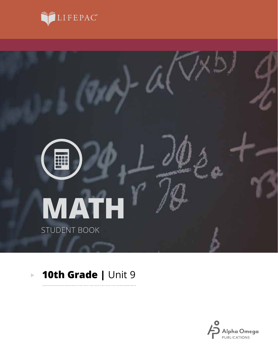



. . . . . .

#### **10th Grade |** Unit 9 $\overline{\mathbb{P}}$

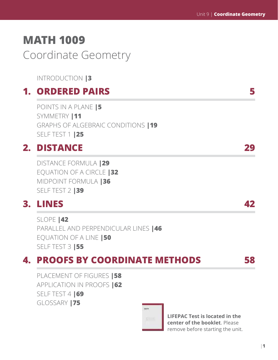# **MATH 1009** Coordinate Geometry

INTRODUCTION **|3**

## **1. ORDERED PAIRS 5**

POINTS IN A PLANE **|5** SYMMETRY **|11** GRAPHS OF ALGEBRAIC CONDITIONS **|19** SELF TEST 1 **|25**

## **2. DISTANCE 29**

DISTANCE FORMULA **|29** EQUATION OF A CIRCLE **|32** MIDPOINT FORMULA **|36** SELF TEST 2 **|39**

## **3. LINES 42**

SLOPE **|42** PARALLEL AND PERPENDICULAR LINES **|46** EQUATION OF A LINE **|50** SELF TEST 3 **|55**

## **4. PROOFS BY COORDINATE METHODS 58**

PLACEMENT OF FIGURES **|58** APPLICATION IN PROOFS **|62** SELF TEST 4 **|69** GLOSSARY **|75**



**LIFEPAC Test is located in the center of the booklet**. Please remove before starting the unit.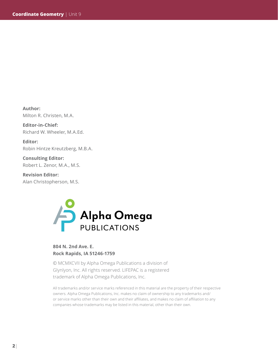**Author:**  Milton R. Christen, M.A.

**Editor-in-Chief:**  Richard W. Wheeler, M.A.Ed.

**Editor:**  Robin Hintze Kreutzberg, M.B.A.

**Consulting Editor:**  Robert L. Zenor, M.A., M.S.

**Revision Editor:**  Alan Christopherson, M.S.



### **804 N. 2nd Ave. E. Rock Rapids, IA 51246-1759**

© MCMXCVII by Alpha Omega Publications a division of Glynlyon, Inc. All rights reserved. LIFEPAC is a registered trademark of Alpha Omega Publications, Inc.

All trademarks and/or service marks referenced in this material are the property of their respective owners. Alpha Omega Publications, Inc. makes no claim of ownership to any trademarks and/ or service marks other than their own and their affiliates, and makes no claim of affiliation to any companies whose trademarks may be listed in this material, other than their own.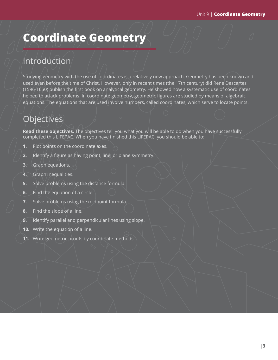# **Coordinate Geometry**

## Introduction

Studying geometry with the use of coordinates is a relatively new approach. Geometry has been known and used even before the time of Christ. However, only in recent times (the 17th century) did Rene Descartes (1596-1650) publish the first book on analytical geometry. He showed how a systematic use of coordinates helped to attack problems. In coordinate geometry, geometric figures are studied by means of algebraic equations. The equations that are used involve numbers, called coordinates, which serve to locate points.

## **Objectives**

**Read these objectives.** The objectives tell you what you will be able to do when you have successfully completed this LIFEPAC. When you have finished this LIFEPAC, you should be able to:

- **1.** Plot points on the coordinate axes.
- **2.** Identify a figure as having point, line, or plane symmetry.
- **3.** Graph equations.
- **4.** Graph inequalities.
- **5.** Solve problems using the distance formula.
- **6.** Find the equation of a circle.
- **7.** Solve problems using the midpoint formula.
- **8.** Find the slope of a line.
- **9.** Identify parallel and perpendicular lines using slope.
- **10.** Write the equation of a line.
- **11.** Write geometric proofs by coordinate methods.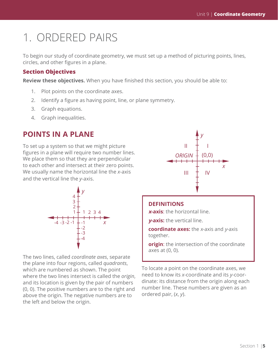# 1. ORDERED PAIRS

To begin our study of coordinate geometry, we must set up a method of picturing points, lines, circles, and other figures in a plane.

### **Section Objectives**

**Review these objectives.** When you have finished this section, you should be able to:

- 1. Plot points on the coordinate axes.
- 2. Identify a figure as having point, line, or plane symmetry.
- 3. Graph equations.
- 4. Graph inequalities.

### **POINTS IN A PLANE**

To set up a system so that we might picture figures in a plane will require two number lines. We place them so that they are perpendicular to each other and intersect at their zero points. We usually name the horizontal line the *x*-axis and the vertical line the *y*-axis.



The two lines, called *coordinate axes*, separate the plane into four regions, called *quadrants*, which are numbered as shown. The point where the two lines intersect is called the *origin*, and its location is given by the pair of numbers (0, 0). The positive numbers are to the right and above the origin. The negative numbers are to the left and below the origin.



### **DEFINITIONS**

**<sup>x</sup>-axis**: the horizontal line.

**y-axis:** the vertical line.

**coordinate axes:** the x-axis and y-axis together.

**origin**: the intersection of the coordinate axes at (0, 0).

To locate a point on the coordinate axes, we need to know its *x*-coordinate and its *y*-coordinate: its distance from the origin along each number line. These numbers are given as an ordered pair, (*x*, *y*).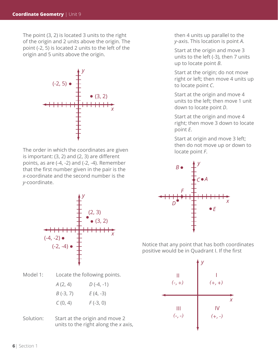The point (3, 2) is located 3 units to the right of the origin and 2 units above the origin. The point (-2, 5) is located 2 units to the left of the origin and 5 units above the origin.



The order in which the coordinates are given is important: (3, 2) and (2, 3) are different points, as are (-4, -2) and (-2, -4). Remember that the first number given in the pair is the *x*-coordinate and the second number is the *y*-coordinate.



Model 1: Locate the following points.

 *A* (2, 4) *D* (-4, -1) *B* (-3, 7) *E* (4, -3) *C* (0, 4) *F* (-3, 0)

Solution: Start at the origin and move 2 units to the right along the *x* axis, then 4 units up parallel to the *y*-axis. This location is point *A*.

Start at the origin and move 3 units to the left (-3), then 7 units up to locate point *B*.

Start at the origin; do not move right or left; then move 4 units up to locate point *C*.

Start at the origin and move 4 units to the left; then move 1 unit down to locate point *D*.

Start at the origin and move 4 right; then move 3 down to locate point *E*.

Start at origin and move 3 left; then do not move up or down to locate point *F*.



Notice that any point that has both coordinates positive would be in Quadrant I. If the first

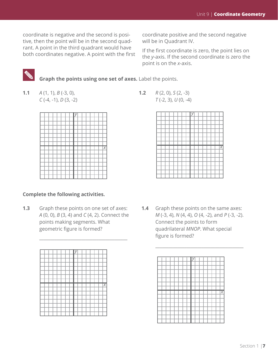coordinate is negative and the second is positive, then the point will be in the second quadrant. A point in the third quadrant would have both coordinates negative. A point with the first

coordinate positive and the second negative will be in Quadrant IV.

If the first coordinate is zero, the point lies on the *y*-axis. If the second coordinate is zero the point is on the *x*-axis.



 **Graph the points using one set of axes.** Label the points.

**1.1** *A* (1, 1), *B* (-3, 0), **1.2** *R* (2, 0), *S* (2, -3)



### **Complete the following activities.**

points making segments. What Connect the points to form geometric figure is formed? quadrilateral *MNOP*. What special



*C* (-4, -1), *D* (3, -2) *T* (-2, 3), *U* (0, -4)



**1.3** Graph these points on one set of axes: **1.4** Graph these points on the same axes: *A* (0, 0), *B* (3, 4) and *C* (4, 2). Connect the *M* (-3, 4), *N* (4, 4), *O* (4, -2), and *P* (-3, -2). figure is formed?

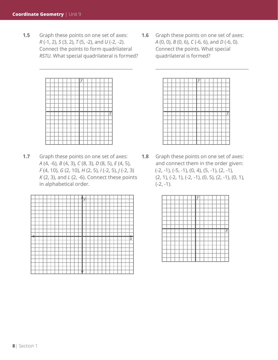**1.5** Graph these points on one set of axes: **1.6** Graph these points on one set of axes: *R* (-1, 2), *S* (3, 2), *T* (5, -2), and *U* (-2, -2). *A* (0, 0), *B* (0, 6), *C* (-6, 6), and *D* (-6, 0). Connect the points to form quadrilateral Connect the points. What special *RSTU*. What special quadrilateral is formed? quadrilateral is formed?



**1.7** Graph these points on one set of axes: **1.8** Graph these points on one set of axes: *F* (4, 10), *G* (2, 10), *H* (2, 5), *I* (-2, 5), *J* (-2, 3) (-2, -1), (-5, -1), (0, 4), (5, -1), (2, -1), in alphabetical order. (-2, -1).

|  |  |  |  |  |  | y |  |  |  |  |  |     |
|--|--|--|--|--|--|---|--|--|--|--|--|-----|
|  |  |  |  |  |  |   |  |  |  |  |  |     |
|  |  |  |  |  |  |   |  |  |  |  |  |     |
|  |  |  |  |  |  |   |  |  |  |  |  |     |
|  |  |  |  |  |  |   |  |  |  |  |  |     |
|  |  |  |  |  |  |   |  |  |  |  |  |     |
|  |  |  |  |  |  |   |  |  |  |  |  |     |
|  |  |  |  |  |  |   |  |  |  |  |  |     |
|  |  |  |  |  |  |   |  |  |  |  |  |     |
|  |  |  |  |  |  |   |  |  |  |  |  |     |
|  |  |  |  |  |  |   |  |  |  |  |  |     |
|  |  |  |  |  |  |   |  |  |  |  |  |     |
|  |  |  |  |  |  |   |  |  |  |  |  |     |
|  |  |  |  |  |  |   |  |  |  |  |  |     |
|  |  |  |  |  |  |   |  |  |  |  |  |     |
|  |  |  |  |  |  |   |  |  |  |  |  |     |
|  |  |  |  |  |  |   |  |  |  |  |  |     |
|  |  |  |  |  |  |   |  |  |  |  |  |     |
|  |  |  |  |  |  |   |  |  |  |  |  |     |
|  |  |  |  |  |  |   |  |  |  |  |  |     |
|  |  |  |  |  |  |   |  |  |  |  |  | Ιž. |

\_\_\_\_\_\_\_\_\_\_\_\_\_\_\_\_\_\_\_\_\_\_\_\_\_\_\_\_\_\_\_\_\_\_\_\_\_\_\_\_\_ \_\_\_\_\_\_\_\_\_\_\_\_\_\_\_\_\_\_\_\_\_\_\_\_\_\_\_\_\_\_\_\_\_\_\_\_\_\_\_\_\_



*A* (4, -6), *B* (4, 3), *C* (8, 3), *D* (8, 5), *E* (4, 5), and connect them in the order given: *K* (2, 3), and *L* (2, -6). Connect these points (2, 1), (-2, 1), (-2, -1), (0, 5), (2, -1), (0, 1),

|  |  |  |  | У |  |  |  |    |
|--|--|--|--|---|--|--|--|----|
|  |  |  |  |   |  |  |  |    |
|  |  |  |  |   |  |  |  |    |
|  |  |  |  |   |  |  |  |    |
|  |  |  |  |   |  |  |  |    |
|  |  |  |  |   |  |  |  |    |
|  |  |  |  |   |  |  |  |    |
|  |  |  |  |   |  |  |  |    |
|  |  |  |  |   |  |  |  |    |
|  |  |  |  |   |  |  |  | Ιx |
|  |  |  |  |   |  |  |  |    |
|  |  |  |  |   |  |  |  |    |
|  |  |  |  |   |  |  |  |    |
|  |  |  |  |   |  |  |  |    |
|  |  |  |  |   |  |  |  |    |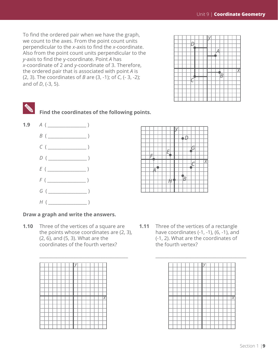To find the ordered pair when we have the graph, we count to the axes. From the point count units perpendicular to the *x*-axis to find the *x*-coordinate. Also from the point count units perpendicular to the *y*-axis to find the y-coordinate. Point *A* has *x*-coordinate of 2 and *y*-coordinate of 3. Therefore, the ordered pair that is associated with point *A* is (2, 3). The coordinates of *B* are (3, -1); of *C*, (- 3, -2); and of *D*, (-3, 5).





 **Find the coordinates of the following points.**



### *x D G C E F A B H*

*y*

\_\_\_\_\_\_\_\_\_\_\_\_\_\_\_\_\_\_\_\_\_\_\_\_\_\_\_\_\_\_\_\_\_\_\_\_\_\_\_ \_\_\_\_\_\_\_\_\_\_\_\_\_\_\_\_\_\_\_\_\_\_\_\_\_\_\_\_\_\_\_\_\_\_\_\_\_\_\_\_

#### **Draw a graph and write the answers.**

**1.10** Three of the vertices of a square are **1.11** Three of the vertices of a rectangle coordinates of the fourth vertex? the fourth vertex?

|  |  |  |  |  |  |  | X |
|--|--|--|--|--|--|--|---|
|  |  |  |  |  |  |  |   |
|  |  |  |  |  |  |  |   |
|  |  |  |  |  |  |  |   |
|  |  |  |  |  |  |  |   |
|  |  |  |  |  |  |  |   |

the points whose coordinates are (2, 3), have coordinates (-1, -1), (6, -1), and  $(2, 6)$ , and  $(5, 3)$ . What are the  $(-1, 2)$ . What are the coordinates of

|  |  |  |  |  |  |  | $\overline{\mathsf{x}}$ |
|--|--|--|--|--|--|--|-------------------------|
|  |  |  |  |  |  |  |                         |
|  |  |  |  |  |  |  |                         |
|  |  |  |  |  |  |  |                         |
|  |  |  |  |  |  |  |                         |
|  |  |  |  |  |  |  |                         |
|  |  |  |  |  |  |  |                         |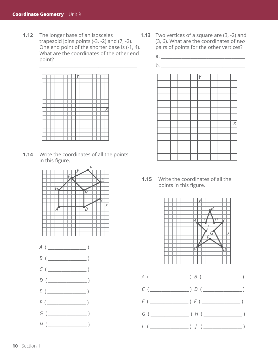**1.12** The longer base of an isosceles **1.13** Two vertices of a square are (3, -2) and trapezoid joins points (-3, -2) and (7, -2). (3, 6). What are the coordinates of *two* One end point of the shorter base is (-1, 4). pairs of points for the other vertices? What are the coordinates of the other end a. \_\_\_\_\_\_\_\_\_\_\_\_\_\_\_\_\_\_\_\_\_\_\_\_\_\_\_\_\_\_\_\_\_\_\_\_\_ point?



**1.14** Write the coordinates of all the points in this figure.





- -



**1.15** Write the coordinates of all the points in this figure.



- *G* ( \_\_\_\_\_\_\_\_\_\_\_\_\_\_\_\_\_ ) *H* ( \_\_\_\_\_\_\_\_\_\_\_\_\_\_\_\_\_ )
- *I* ( \_\_\_\_\_\_\_\_\_\_\_\_\_\_\_\_\_ ) *J* ( \_\_\_\_\_\_\_\_\_\_\_\_\_\_\_\_\_ )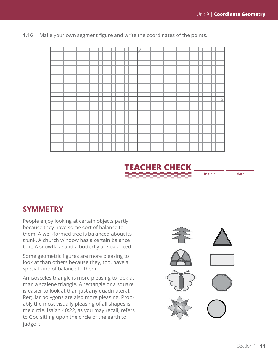**1.16** Make your own segment figure and write the coordinates of the points.





initials date

### **SYMMETRY**

People enjoy looking at certain objects partly because they have some sort of balance to them. A well-formed tree is balanced about its trunk. A church window has a certain balance to it. A snowflake and a butterfly are balanced.

Some geometric figures are more pleasing to look at than others because they, too, have a special kind of balance to them.

An isosceles triangle is more pleasing to look at than a scalene triangle. A rectangle or a square is easier to look at than just any quadrilateral. Regular polygons are also more pleasing. Probably the most visually pleasing of all shapes is the circle. Isaiah 40:22, as you may recall, refers to God sitting upon the circle of the earth to judge it.

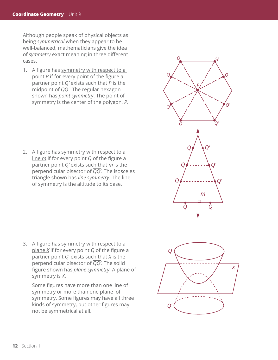Although people speak of physical objects as being *symmetrical* when they appear to be well-balanced, mathematicians give the idea of *symmetry* exact meaning in three different cases.

1. A figure has symmetry with respect to a point *P* if for every point of the figure a partner point *Q'* exists such that *P* is the midpoint of *QQ'*. The regular hexagon shown has *point symmetry*. The point of symmetry is the center of the polygon, *P*.

2. A figure has symmetry with respect to a line *m* if for every point *Q* of the figure a partner point *Q'* exists such that *m* is the perpendicular bisector of *QQ'*. The isosceles triangle shown has *line symmetry*. The line of symmetry is the altitude to its base.

3. A figure has symmetry with respect to a plane *X* if for every point *Q* of the figure a partner point *Q*' exists such that *X* is the perpendicular bisector of *QQ'*. The solid figure shown has *plane symmetry*. A plane of symmetry is *X*.

Some figures have more than one line of symmetry or more than one plane of symmetry. Some figures may have all three kinds of symmetry, but other figures may not be symmetrical at all.



*Q*

*Q Q*

*P*

*Q' Q'*

*Q' Q'*

*Q*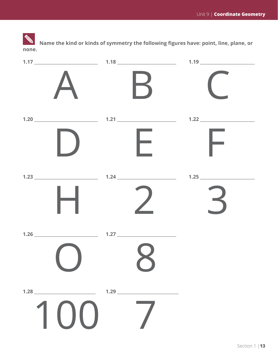**Name the kind or kinds of symmetry the following figures have: point, line, plane, or none.**

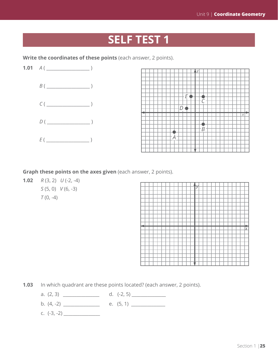## **SELF TEST 1**

Write the coordinates of these points (each answer, 2 points).



|  |  |  |   |  | F |  |   |  |  |  |  |   |  |
|--|--|--|---|--|---|--|---|--|--|--|--|---|--|
|  |  |  |   |  |   |  |   |  |  |  |  |   |  |
|  |  |  |   |  |   |  |   |  |  |  |  |   |  |
|  |  |  |   |  |   |  |   |  |  |  |  |   |  |
|  |  |  |   |  |   |  |   |  |  |  |  |   |  |
|  |  |  |   |  |   |  |   |  |  |  |  |   |  |
|  |  |  |   |  |   |  |   |  |  |  |  |   |  |
|  |  |  |   |  |   |  |   |  |  |  |  |   |  |
|  |  |  |   |  |   |  |   |  |  |  |  |   |  |
|  |  |  |   |  |   |  |   |  |  |  |  |   |  |
|  |  |  |   |  |   |  |   |  |  |  |  | Χ |  |
|  |  |  |   |  |   |  |   |  |  |  |  |   |  |
|  |  |  |   |  |   |  |   |  |  |  |  |   |  |
|  |  |  |   |  |   |  |   |  |  |  |  |   |  |
|  |  |  |   |  |   |  |   |  |  |  |  |   |  |
|  |  |  |   |  |   |  |   |  |  |  |  |   |  |
|  |  |  |   |  |   |  | R |  |  |  |  |   |  |
|  |  |  |   |  |   |  |   |  |  |  |  |   |  |
|  |  |  |   |  |   |  |   |  |  |  |  |   |  |
|  |  |  | F |  |   |  |   |  |  |  |  |   |  |
|  |  |  |   |  |   |  |   |  |  |  |  |   |  |
|  |  |  |   |  |   |  |   |  |  |  |  |   |  |
|  |  |  |   |  |   |  |   |  |  |  |  |   |  |
|  |  |  |   |  |   |  |   |  |  |  |  |   |  |

**Graph these points on the axes given** (each answer, 2 points).

**1.02** *R* (3, 2) *U* (-2, -4) *S* (5, 0) *V* (6, -3) *T* (0, -4)

|  |  |  |  |  |  | $\leftrightarrow$ |  |  |  |  |  |        |
|--|--|--|--|--|--|-------------------|--|--|--|--|--|--------|
|  |  |  |  |  |  |                   |  |  |  |  |  |        |
|  |  |  |  |  |  |                   |  |  |  |  |  |        |
|  |  |  |  |  |  |                   |  |  |  |  |  |        |
|  |  |  |  |  |  |                   |  |  |  |  |  |        |
|  |  |  |  |  |  |                   |  |  |  |  |  |        |
|  |  |  |  |  |  |                   |  |  |  |  |  |        |
|  |  |  |  |  |  |                   |  |  |  |  |  |        |
|  |  |  |  |  |  |                   |  |  |  |  |  |        |
|  |  |  |  |  |  |                   |  |  |  |  |  |        |
|  |  |  |  |  |  |                   |  |  |  |  |  |        |
|  |  |  |  |  |  |                   |  |  |  |  |  |        |
|  |  |  |  |  |  |                   |  |  |  |  |  |        |
|  |  |  |  |  |  |                   |  |  |  |  |  |        |
|  |  |  |  |  |  |                   |  |  |  |  |  |        |
|  |  |  |  |  |  |                   |  |  |  |  |  |        |
|  |  |  |  |  |  |                   |  |  |  |  |  |        |
|  |  |  |  |  |  |                   |  |  |  |  |  | .<br>X |
|  |  |  |  |  |  |                   |  |  |  |  |  |        |
|  |  |  |  |  |  |                   |  |  |  |  |  |        |
|  |  |  |  |  |  |                   |  |  |  |  |  |        |
|  |  |  |  |  |  |                   |  |  |  |  |  |        |
|  |  |  |  |  |  |                   |  |  |  |  |  |        |
|  |  |  |  |  |  |                   |  |  |  |  |  |        |
|  |  |  |  |  |  |                   |  |  |  |  |  |        |
|  |  |  |  |  |  |                   |  |  |  |  |  |        |
|  |  |  |  |  |  |                   |  |  |  |  |  |        |
|  |  |  |  |  |  |                   |  |  |  |  |  |        |
|  |  |  |  |  |  |                   |  |  |  |  |  |        |

**1.03** In which quadrant are these points located? (each answer, 2 points).

- a. (2, 3) \_\_\_\_\_\_\_\_\_\_\_\_\_\_\_\_ d. (-2, 5) \_\_\_\_\_\_\_\_\_\_\_\_\_\_\_
- b. (4, -2) \_\_\_\_\_\_\_\_\_\_\_\_\_\_\_\_ e. (5, 1) \_\_\_\_\_\_\_\_\_\_\_\_\_\_\_
- c. (-3, -2) \_\_\_\_\_\_\_\_\_\_\_\_\_\_\_\_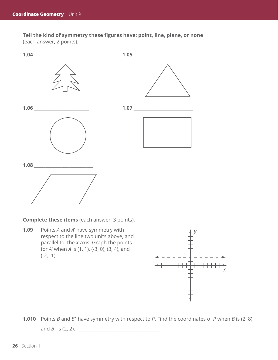**Tell the kind of symmetry these figures have: point, line, plane, or none** (each answer, 2 points).



**Complete these items** (each answer, 3 points).

**1.09** Points *A* and *A*' have symmetry with respect to the line two units above, and parallel to, the *x*-axis. Graph the points for *A*' when *A* is (1, 1), (-3, 0), (3, 4), and  $(-2, -1)$ .



**1.010** Points *B* and *B*' have symmetry with respect to *P*. Find the coordinates of *P* when *B* is (2, 8) and *B*' is (2, 2). \_\_\_\_\_\_\_\_\_\_\_\_\_\_\_\_\_\_\_\_\_\_\_\_\_\_\_\_\_\_\_\_\_\_\_\_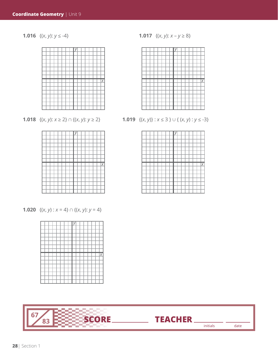



**1.020**  $\{(x, y) : x = 4\} \cap \{(x, y): y = 4\}$ 





**1.016**  $\{(x, y): y \le -4\}$  **1.017**  $\{(x, y): x - y \ge 8\}$ 



**1.018**  $\{(x, y): x \ge 2\} \cap \{(x, y): y \ge 2\}$  **1.019**  $\{(x, y): x \le 3\} \cup \{(x, y): y \le -3\}$ 

|  |  |  |  |  |  |  | X |
|--|--|--|--|--|--|--|---|
|  |  |  |  |  |  |  |   |
|  |  |  |  |  |  |  |   |
|  |  |  |  |  |  |  |   |
|  |  |  |  |  |  |  |   |
|  |  |  |  |  |  |  |   |
|  |  |  |  |  |  |  |   |
|  |  |  |  |  |  |  |   |

initials date